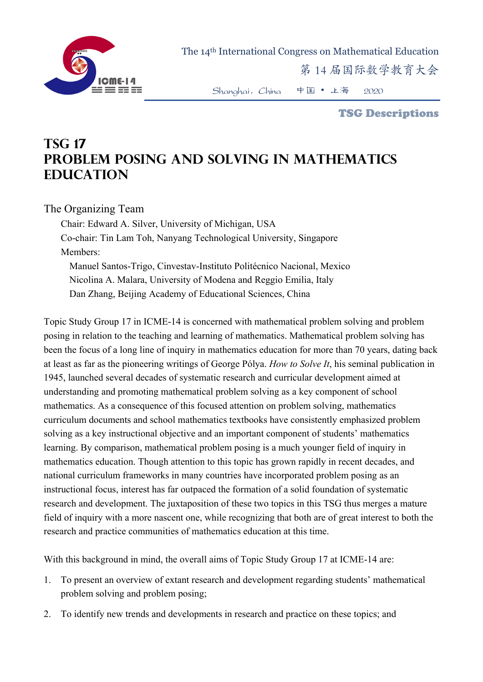

The 14th International Congress on Mathematical Education

第 14 届国际数学教育大会

Shanghai,China 中国 • 上海 2020

TSG Descriptions

## **TSG 17 Problem Posing and Solving in Mathematics Education**

The Organizing Team

Chair: Edward A. Silver, University of Michigan, USA Co-chair: Tin Lam Toh, Nanyang Technological University, Singapore Members: Manuel Santos-Trigo, Cinvestav-Instituto Politécnico Nacional, Mexico Nicolina A. Malara, University of Modena and Reggio Emilia, Italy Dan Zhang, Beijing Academy of Educational Sciences, China

Topic Study Group 17 in ICME-14 is concerned with mathematical problem solving and problem posing in relation to the teaching and learning of mathematics. Mathematical problem solving has been the focus of a long line of inquiry in mathematics education for more than 70 years, dating back at least as far as the pioneering writings of George Pólya. *How to Solve It*, his seminal publication in 1945, launched several decades of systematic research and curricular development aimed at understanding and promoting mathematical problem solving as a key component of school mathematics. As a consequence of this focused attention on problem solving, mathematics curriculum documents and school mathematics textbooks have consistently emphasized problem solving as a key instructional objective and an important component of students' mathematics learning. By comparison, mathematical problem posing is a much younger field of inquiry in mathematics education. Though attention to this topic has grown rapidly in recent decades, and national curriculum frameworks in many countries have incorporated problem posing as an instructional focus, interest has far outpaced the formation of a solid foundation of systematic research and development. The juxtaposition of these two topics in this TSG thus merges a mature field of inquiry with a more nascent one, while recognizing that both are of great interest to both the research and practice communities of mathematics education at this time.

With this background in mind, the overall aims of Topic Study Group 17 at ICME-14 are:

- 1. To present an overview of extant research and development regarding students' mathematical problem solving and problem posing;
- 2. To identify new trends and developments in research and practice on these topics; and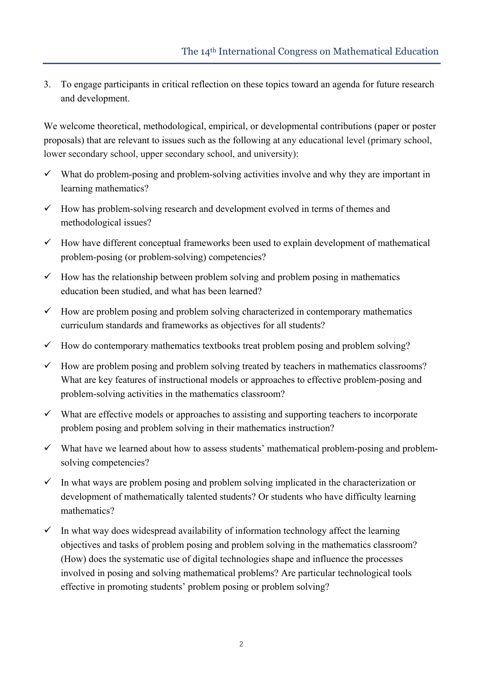3. To engage participants in critical reflection on these topics toward an agenda for future research and development.

We welcome theoretical, methodological, empirical, or developmental contributions (paper or poster proposals) that are relevant to issues such as the following at any educational level (primary school, lower secondary school, upper secondary school, and university):

- $\checkmark$  What do problem-posing and problem-solving activities involve and why they are important in learning mathematics?
- $\checkmark$  How has problem-solving research and development evolved in terms of themes and methodological issues?
- $\checkmark$  How have different conceptual frameworks been used to explain development of mathematical problem-posing (or problem-solving) competencies?
- $\checkmark$  How has the relationship between problem solving and problem posing in mathematics education been studied, and what has been learned?
- $\checkmark$  How are problem posing and problem solving characterized in contemporary mathematics curriculum standards and frameworks as objectives for all students?
- $\checkmark$  How do contemporary mathematics textbooks treat problem posing and problem solving?
- $\checkmark$  How are problem posing and problem solving treated by teachers in mathematics classrooms? What are key features of instructional models or approaches to effective problem-posing and problem-solving activities in the mathematics classroom?
- $\checkmark$  What are effective models or approaches to assisting and supporting teachers to incorporate problem posing and problem solving in their mathematics instruction?
- $\checkmark$  What have we learned about how to assess students' mathematical problem-posing and problemsolving competencies?
- $\checkmark$  In what ways are problem posing and problem solving implicated in the characterization or development of mathematically talented students? Or students who have difficulty learning mathematics?
- $\checkmark$  In what way does widespread availability of information technology affect the learning objectives and tasks of problem posing and problem solving in the mathematics classroom? (How) does the systematic use of digital technologies shape and influence the processes involved in posing and solving mathematical problems? Are particular technological tools effective in promoting students' problem posing or problem solving?